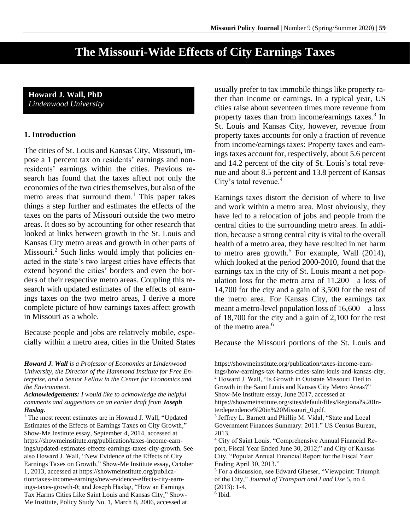# **The Missouri-Wide Effects of City Earnings Taxes**

#### **Howard J. Wall, PhD** *Lindenwood University*

#### **1. Introduction**

The cities of St. Louis and Kansas City, Missouri, impose a 1 percent tax on residents' earnings and nonresidents' earnings within the cities. Previous research has found that the taxes affect not only the economies of the two cities themselves, but also of the metro areas that surround them. <sup>1</sup> This paper takes things a step further and estimates the effects of the taxes on the parts of Missouri outside the two metro areas. It does so by accounting for other research that looked at links between growth in the St. Louis and Kansas City metro areas and growth in other parts of Missouri.<sup>2</sup> Such links would imply that policies enacted in the state's two largest cities have effects that extend beyond the cities' borders and even the borders of their respective metro areas. Coupling this research with updated estimates of the effects of earnings taxes on the two metro areas, I derive a more complete picture of how earnings taxes affect growth in Missouri as a whole.

Because people and jobs are relatively mobile, especially within a metro area, cities in the United States usually prefer to tax immobile things like property rather than income or earnings. In a typical year, US cities raise about seventeen times more revenue from property taxes than from income/earnings taxes.<sup>3</sup> In St. Louis and Kansas City, however, revenue from property taxes accounts for only a fraction of revenue from income/earnings taxes: Property taxes and earnings taxes account for, respectively, about 5.6 percent and 14.2 percent of the city of St. Louis's total revenue and about 8.5 percent and 13.8 percent of Kansas City's total revenue. 4

Earnings taxes distort the decision of where to live and work within a metro area. Most obviously, they have led to a relocation of jobs and people from the central cities to the surrounding metro areas. In addition, because a strong central city is vital to the overall health of a metro area, they have resulted in net harm to metro area growth.<sup>5</sup> For example, Wall  $(2014)$ , which looked at the period 2000-2010, found that the earnings tax in the city of St. Louis meant a net population loss for the metro area of 11,200—a loss of 14,700 for the city and a gain of 3,500 for the rest of the metro area. For Kansas City, the earnings tax meant a metro-level population loss of 16,600—a loss of 18,700 for the city and a gain of 2,100 for the rest of the metro area.<sup>6</sup>

Because the Missouri portions of the St. Louis and

*Howard J. Wall is a Professor of Economics at Lindenwood University, the Director of the Hammond Institute for Free Enterprise, and a Senior Fellow in the Center for Economics and the Environment.*

*Acknowledgements: I would like to acknowledge the helpful comments and suggestions on an earlier draft from Joseph Haslag.*

<sup>&</sup>lt;sup>1</sup> The most recent estimates are in Howard J. Wall, "Updated Estimates of the Effects of Earnings Taxes on City Growth," Show-Me Institute essay, September 4, 2014, accessed at https://showmeinstitute.org/publication/taxes-income-earnings/updated-estimates-effects-earnings-taxes-city-growth. See also Howard J. Wall, "New Evidence of the Effects of City Earnings Taxes on Growth," Show-Me Institute essay, October 1, 2013, accessed at https://showmeinstitute.org/publication/taxes-income-earnings/new-evidence-effects-city-earnings-taxes-growth-0; and Joseph Haslag, "How an Earnings Tax Harms Cities Like Saint Louis and Kansas City," Show-Me Institute, Policy Study No. 1, March 8, 2006, accessed at

https://showmeinstitute.org/publication/taxes-income-earnings/how-earnings-tax-harms-cities-saint-louis-and-kansas-city. <sup>2</sup> Howard J. Wall, "Is Growth in Outstate Missouri Tied to Growth in the Saint Louis and Kansas City Metro Areas?" Show-Me Institute essay, June 2017, accessed at https://showmeinstitute.org/sites/default/files/Regional%20Interdependence%20in%20Missouri\_0.pdf.

<sup>&</sup>lt;sup>3</sup> Jeffrey L. Barnett and Phillip M. Vidal, "State and Local Government Finances Summary: 2011." US Census Bureau, 2013.

<sup>4</sup> City of Saint Louis. "Comprehensive Annual Financial Report, Fiscal Year Ended June 30, 2012;" and City of Kansas City. "Popular Annual Financial Report for the Fiscal Year Ending April 30, 2013."

<sup>5</sup> For a discussion, see Edward Glaeser, "Viewpoint: Triumph of the City," *Journal of Transport and Land Use* 5, no 4 (2013): 1-4. 6 Ibid.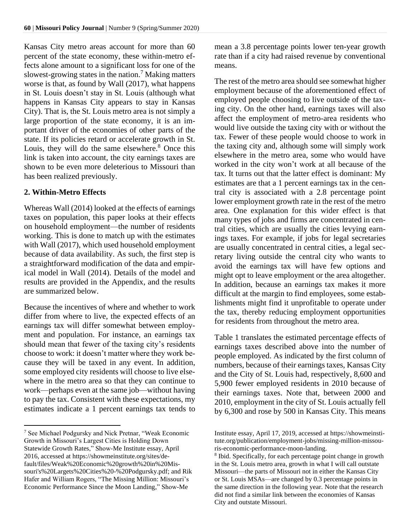Kansas City metro areas account for more than 60 percent of the state economy, these within-metro effects alone amount to a significant loss for one of the slowest-growing states in the nation.<sup>7</sup> Making matters worse is that, as found by Wall (2017), what happens in St. Louis doesn't stay in St. Louis (although what happens in Kansas City appears to stay in Kansas City). That is, the St. Louis metro area is not simply a large proportion of the state economy, it is an important driver of the economies of other parts of the state. If its policies retard or accelerate growth in St. Louis, they will do the same elsewhere.<sup>8</sup> Once this link is taken into account, the city earnings taxes are shown to be even more deleterious to Missouri than has been realized previously.

#### **2. Within-Metro Effects**

Whereas Wall (2014) looked at the effects of earnings taxes on population, this paper looks at their effects on household employment—the number of residents working. This is done to match up with the estimates with Wall (2017), which used household employment because of data availability. As such, the first step is a straightforward modification of the data and empirical model in Wall (2014). Details of the model and results are provided in the Appendix, and the results are summarized below.

Because the incentives of where and whether to work differ from where to live, the expected effects of an earnings tax will differ somewhat between employment and population. For instance, an earnings tax should mean that fewer of the taxing city's residents choose to work: it doesn't matter where they work because they will be taxed in any event. In addition, some employed city residents will choose to live elsewhere in the metro area so that they can continue to work—perhaps even at the same job—without having to pay the tax. Consistent with these expectations, my estimates indicate a 1 percent earnings tax tends to

mean a 3.8 percentage points lower ten-year growth rate than if a city had raised revenue by conventional means.

The rest of the metro area should see somewhat higher employment because of the aforementioned effect of employed people choosing to live outside of the taxing city. On the other hand, earnings taxes will also affect the employment of metro-area residents who would live outside the taxing city with or without the tax. Fewer of these people would choose to work in the taxing city and, although some will simply work elsewhere in the metro area, some who would have worked in the city won't work at all because of the tax. It turns out that the latter effect is dominant: My estimates are that a 1 percent earnings tax in the central city is associated with a 2.8 percentage point lower employment growth rate in the rest of the metro area. One explanation for this wider effect is that many types of jobs and firms are concentrated in central cities, which are usually the cities levying earnings taxes. For example, if jobs for legal secretaries are usually concentrated in central cities, a legal secretary living outside the central city who wants to avoid the earnings tax will have few options and might opt to leave employment or the area altogether. In addition, because an earnings tax makes it more difficult at the margin to find employees, some establishments might find it unprofitable to operate under the tax, thereby reducing employment opportunities for residents from throughout the metro area.

Table 1 translates the estimated percentage effects of earnings taxes described above into the number of people employed. As indicated by the first column of numbers, because of their earnings taxes, Kansas City and the City of St. Louis had, respectively, 8,600 and 5,900 fewer employed residents in 2010 because of their earnings taxes. Note that, between 2000 and 2010, employment in the city of St. Louis actually fell by 6,300 and rose by 500 in Kansas City. This means

<sup>7</sup> See Michael Podgursky and Nick Pretnar, "Weak Economic Growth in Missouri's Largest Cities is Holding Down Statewide Growth Rates," Show-Me Institute essay, April 2016, accessed at https://showmeinstitute.org/sites/default/files/Weak%20Economic%20growth%20in%20Missouri's%20Largets%20Cities%20-%20Podgursky.pdf; and Rik Hafer and William Rogers, "The Missing Million: Missouri's Economic Performance Since the Moon Landing," Show-Me

Institute essay, April 17, 2019, accessed at https://showmeinstitute.org/publication/employment-jobs/missing-million-missouris-economic-performance-moon-landing.

<sup>&</sup>lt;sup>8</sup> Ibid. Specifically, for each percentage point change in growth in the St. Louis metro area, growth in what I will call outstate Missouri—the parts of Missouri not in either the Kansas City or St. Louis MSAs—are changed by 0.3 percentage points in the same direction in the following year. Note that the research did not find a similar link between the economies of Kansas City and outstate Missouri.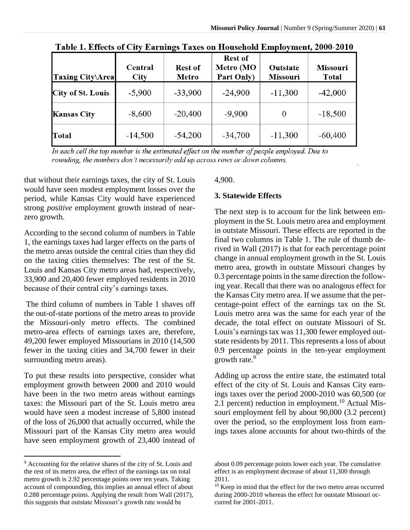| <b>Taxing City\Area</b>  | Central<br>City | <b>Rest of</b><br>Metro | <b>Rest of</b><br>Metro (MO<br>Part Only) | Outstate<br><b>Missouri</b> | <b>Missouri</b><br>Total |
|--------------------------|-----------------|-------------------------|-------------------------------------------|-----------------------------|--------------------------|
| <b>City of St. Louis</b> | $-5,900$        | $-33,900$               | $-24,900$                                 | $-11,300$                   | $-42,000$                |
| Kansas City              | $-8,600$        | $-20,400$               | $-9,900$                                  | 0                           | $-18,500$                |
| <b>Total</b>             | $-14,500$       | $-54,200$               | $-34,700$                                 | $-11,300$                   | $-60,400$                |

Table 1. Effects of City Earnings Taxes on Household Employment, 2000-2010

In each cell the top number is the estimated effect on the number of people employed. Due to rounding, the numbers don't necessarily add up across rows or down columns.

that without their earnings taxes, the city of St. Louis would have seen modest employment losses over the period, while Kansas City would have experienced strong *positive* employment growth instead of nearzero growth.

According to the second column of numbers in Table 1, the earnings taxes had larger effects on the parts of the metro areas outside the central cities than they did on the taxing cities themselves: The rest of the St. Louis and Kansas City metro areas had, respectively, 33,900 and 20,400 fewer employed residents in 2010 because of their central city's earnings taxes.

The third column of numbers in Table 1 shaves off the out-of-state portions of the metro areas to provide the Missouri-only metro effects. The combined metro-area effects of earnings taxes are, therefore, 49,200 fewer employed Missourians in 2010 (14,500 fewer in the taxing cities and 34,700 fewer in their surrounding metro areas).

To put these results into perspective, consider what employment growth between 2000 and 2010 would have been in the two metro areas without earnings taxes: the Missouri part of the St. Louis metro area would have seen a modest increase of 5,800 instead of the loss of 26,000 that actually occurred, while the Missouri part of the Kansas City metro area would have seen employment growth of 23,400 instead of

4,900.

#### **3. Statewide Effects**

The next step is to account for the link between employment in the St. Louis metro area and employment in outstate Missouri. These effects are reported in the final two columns in Table 1. The rule of thumb derived in Wall (2017) is that for each percentage point change in annual employment growth in the St. Louis metro area, growth in outstate Missouri changes by 0.3 percentage points in the same direction the following year. Recall that there was no analogous effect for the Kansas City metro area. If we assume that the percentage-point effect of the earnings tax on the St. Louis metro area was the same for each year of the decade, the total effect on outstate Missouri of St. Louis's earnings tax was 11,300 fewer employed outstate residents by 2011. This represents a loss of about 0.9 percentage points in the ten-year employment growth rate. $9$ 

n.

Adding up across the entire state, the estimated total effect of the city of St. Louis and Kansas City earnings taxes over the period 2000-2010 was 60,500 (or 2.1 percent) reduction in employment.<sup>10</sup> Actual Missouri employment fell by about 90,000 (3.2 percent) over the period, so the employment loss from earnings taxes alone accounts for about two-thirds of the

<sup>9</sup> Accounting for the relative shares of the city of St. Louis and the rest of its metro area, the effect of the earnings tax on total metro growth is 2.92 percentage points over ten years. Taking account of compounding, this implies an annual effect of about 0.288 percentage points. Applying the result from Wall (2017), this suggests that outstate Missouri's growth rate would be

about 0.09 percentage points lower each year. The cumulative effect is an employment decrease of about 11,300 through 2011.

<sup>&</sup>lt;sup>10</sup> Keep in mind that the effect for the two metro areas occurred during 2000-2010 whereas the effect for outstate Missouri occurred for 2001-2011.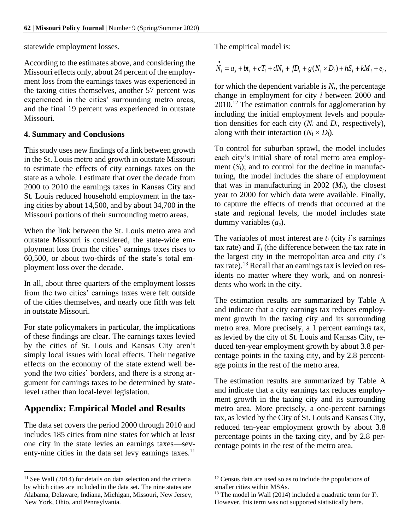statewide employment losses.

According to the estimates above, and considering the Missouri effects only, about 24 percent of the employment loss from the earnings taxes was experienced in the taxing cities themselves, another 57 percent was experienced in the cities' surrounding metro areas, and the final 19 percent was experienced in outstate Missouri.

### **4. Summary and Conclusions**

This study uses new findings of a link between growth in the St. Louis metro and growth in outstate Missouri to estimate the effects of city earnings taxes on the state as a whole. I estimate that over the decade from 2000 to 2010 the earnings taxes in Kansas City and St. Louis reduced household employment in the taxing cities by about 14,500, and by about 34,700 in the Missouri portions of their surrounding metro areas.

When the link between the St. Louis metro area and outstate Missouri is considered, the state-wide employment loss from the cities' earnings taxes rises to 60,500, or about two-thirds of the state's total employment loss over the decade.

In all, about three quarters of the employment losses from the two cities' earnings taxes were felt outside of the cities themselves, and nearly one fifth was felt in outstate Missouri.

For state policymakers in particular, the implications of these findings are clear. The earnings taxes levied by the cities of St. Louis and Kansas City aren't simply local issues with local effects. Their negative effects on the economy of the state extend well beyond the two cities' borders, and there is a strong argument for earnings taxes to be determined by statelevel rather than local-level legislation.

## **Appendix: Empirical Model and Results**

The data set covers the period 2000 through 2010 and includes 185 cities from nine states for which at least one city in the state levies an earnings taxes—seventy-nine cities in the data set levy earnings taxes. $11$ 

The empirical model is:

$$
\dot{N}_i = a_s + bt_i + cT_i + dN_i + fD_i + g(N_i \times D_i) + hS_i + kM_i + e_i,
$$

for which the dependent variable is  $N_i$ , the percentage change in employment for city *i* between 2000 and  $2010$ <sup>12</sup>. The estimation controls for agglomeration by including the initial employment levels and population densities for each city  $(N_i \text{ and } D_i)$ , respectively), along with their interaction  $(N_i \times D_i)$ .

To control for suburban sprawl, the model includes each city's initial share of total metro area employment  $(S_i)$ ; and to control for the decline in manufacturing, the model includes the share of employment that was in manufacturing in 2002  $(M_i)$ , the closest year to 2000 for which data were available. Finally, to capture the effects of trends that occurred at the state and regional levels, the model includes state dummy variables (*as*).

The variables of most interest are *t<sup>i</sup>* (city *i*'s earnings tax rate) and  $T_i$  (the difference between the tax rate in the largest city in the metropolitan area and city *i*'s  $\text{tax rate}$ ).<sup>13</sup> Recall that an earnings tax is levied on residents no matter where they work, and on nonresidents who work in the city.

The estimation results are summarized by Table A and indicate that a city earnings tax reduces employment growth in the taxing city and its surrounding metro area. More precisely, a 1 percent earnings tax, as levied by the city of St. Louis and Kansas City, reduced ten-year employment growth by about 3.8 percentage points in the taxing city, and by 2.8 percentage points in the rest of the metro area.

The estimation results are summarized by Table A and indicate that a city earnings tax reduces employment growth in the taxing city and its surrounding metro area. More precisely, a one-percent earnings tax, as levied by the City of St. Louis and Kansas City, reduced ten-year employment growth by about 3.8 percentage points in the taxing city, and by 2.8 percentage points in the rest of the metro area.

 $11$  See Wall (2014) for details on data selection and the criteria by which cities are included in the data set. The nine states are Alabama, Delaware, Indiana, Michigan, Missouri, New Jersey, New York, Ohio, and Pennsylvania.

<sup>&</sup>lt;sup>12</sup> Census data are used so as to include the populations of smaller cities within MSAs.

<sup>&</sup>lt;sup>13</sup> The model in Wall (2014) included a quadratic term for  $T_i$ . However, this term was not supported statistically here.